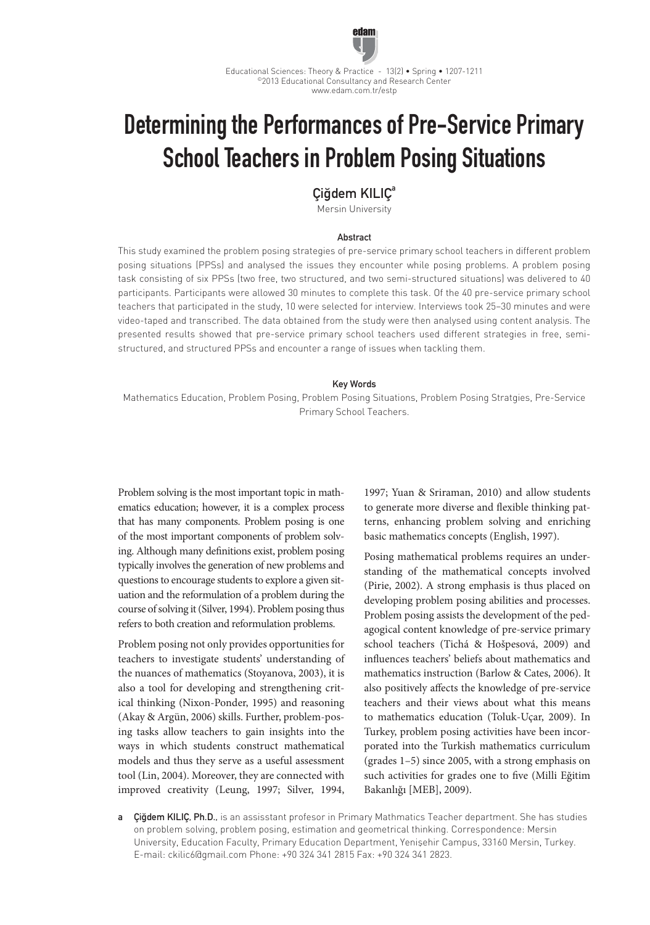

Educational Sciences: Theory & Practice - 13(2) • Spring • 1207-1211 ©2013 Educational Consultancy and Research Center www.edam.com.tr/estp

# Determining the Performances of Pre-Service Primary School Teachers in Problem Posing Situations

Ciğdem KILIC<sup>a</sup>

Mersin University

### **Abstract**

This study examined the problem posing strategies of pre-service primary school teachers in different problem posing situations (PPSs) and analysed the issues they encounter while posing problems. A problem posing task consisting of six PPSs (two free, two structured, and two semi-structured situations) was delivered to 40 participants. Participants were allowed 30 minutes to complete this task. Of the 40 pre-service primary school teachers that participated in the study, 10 were selected for interview. Interviews took 25–30 minutes and were video-taped and transcribed. The data obtained from the study were then analysed using content analysis. The presented results showed that pre-service primary school teachers used different strategies in free, semistructured, and structured PPSs and encounter a range of issues when tackling them.

## Key Words

Mathematics Education, Problem Posing, Problem Posing Situations, Problem Posing Stratgies, Pre-Service Primary School Teachers.

Problem solving is the most important topic in mathematics education; however, it is a complex process that has many components. Problem posing is one of the most important components of problem solving. Although many definitions exist, problem posing typically involves the generation of new problems and questions to encourage students to explore a given situation and the reformulation of a problem during the course of solving it (Silver, 1994). Problem posing thus refers to both creation and reformulation problems.

Problem posing not only provides opportunities for teachers to investigate students' understanding of the nuances of mathematics (Stoyanova, 2003), it is also a tool for developing and strengthening critical thinking (Nixon-Ponder, 1995) and reasoning (Akay & Argün, 2006) skills. Further, problem-posing tasks allow teachers to gain insights into the ways in which students construct mathematical models and thus they serve as a useful assessment tool (Lin, 2004). Moreover, they are connected with improved creativity (Leung, 1997; Silver, 1994,

1997; Yuan & Sriraman, 2010) and allow students to generate more diverse and flexible thinking patterns, enhancing problem solving and enriching basic mathematics concepts (English, 1997).

Posing mathematical problems requires an understanding of the mathematical concepts involved (Pirie, 2002). A strong emphasis is thus placed on developing problem posing abilities and processes. Problem posing assists the development of the pedagogical content knowledge of pre-service primary school teachers (Tichá & Hošpesová, 2009) and influences teachers' beliefs about mathematics and mathematics instruction (Barlow & Cates, 2006). It also positively affects the knowledge of pre-service teachers and their views about what this means to mathematics education (Toluk-Uçar, 2009). In Turkey, problem posing activities have been incorporated into the Turkish mathematics curriculum (grades 1–5) since 2005, with a strong emphasis on such activities for grades one to five (Milli Eğitim Bakanlığı [MEB], 2009).

a Çiğdem KILIÇ, Ph.D., is an assisstant profesor in Primary Mathmatics Teacher department. She has studies on problem solving, problem posing, estimation and geometrical thinking. Correspondence: Mersin University, Education Faculty, Primary Education Department, Yenişehir Campus, 33160 Mersin, Turkey. E-mail: ckilic6@gmail.com Phone: +90 324 341 2815 Fax: +90 324 341 2823.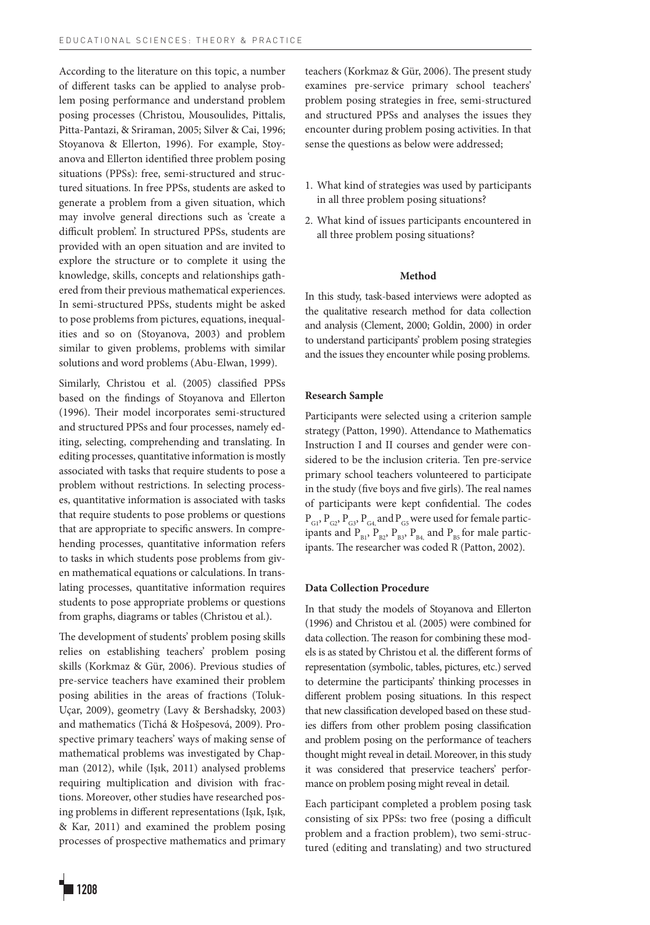According to the literature on this topic, a number of different tasks can be applied to analyse problem posing performance and understand problem posing processes (Christou, Mousoulides, Pittalis, Pitta-Pantazi, & Sriraman, 2005; Silver & Cai, 1996; Stoyanova & Ellerton, 1996). For example, Stoyanova and Ellerton identified three problem posing situations (PPSs): free, semi-structured and structured situations. In free PPSs, students are asked to generate a problem from a given situation, which may involve general directions such as 'create a difficult problem'. In structured PPSs, students are provided with an open situation and are invited to explore the structure or to complete it using the knowledge, skills, concepts and relationships gathered from their previous mathematical experiences. In semi-structured PPSs, students might be asked to pose problems from pictures, equations, inequalities and so on (Stoyanova, 2003) and problem similar to given problems, problems with similar solutions and word problems (Abu-Elwan, 1999).

Similarly, Christou et al. (2005) classified PPSs based on the findings of Stoyanova and Ellerton (1996). Their model incorporates semi-structured and structured PPSs and four processes, namely editing, selecting, comprehending and translating. In editing processes, quantitative information is mostly associated with tasks that require students to pose a problem without restrictions. In selecting processes, quantitative information is associated with tasks that require students to pose problems or questions that are appropriate to specific answers. In comprehending processes, quantitative information refers to tasks in which students pose problems from given mathematical equations or calculations. In translating processes, quantitative information requires students to pose appropriate problems or questions from graphs, diagrams or tables (Christou et al.).

The development of students' problem posing skills relies on establishing teachers' problem posing skills (Korkmaz & Gür, 2006). Previous studies of pre-service teachers have examined their problem posing abilities in the areas of fractions (Toluk-Uçar, 2009), geometry (Lavy & Bershadsky, 2003) and mathematics (Tichá & Hošpesová, 2009). Prospective primary teachers' ways of making sense of mathematical problems was investigated by Chapman (2012), while (Işık, 2011) analysed problems requiring multiplication and division with fractions. Moreover, other studies have researched posing problems in different representations (Işık, Işık, & Kar, 2011) and examined the problem posing processes of prospective mathematics and primary

teachers (Korkmaz & Gür, 2006). The present study examines pre-service primary school teachers' problem posing strategies in free, semi-structured and structured PPSs and analyses the issues they encounter during problem posing activities. In that sense the questions as below were addressed;

- 1. What kind of strategies was used by participants in all three problem posing situations?
- 2. What kind of issues participants encountered in all three problem posing situations?

## **Method**

In this study, task-based interviews were adopted as the qualitative research method for data collection and analysis (Clement, 2000; Goldin, 2000) in order to understand participants' problem posing strategies and the issues they encounter while posing problems.

#### **Research Sample**

Participants were selected using a criterion sample strategy (Patton, 1990). Attendance to Mathematics Instruction I and II courses and gender were considered to be the inclusion criteria. Ten pre-service primary school teachers volunteered to participate in the study (five boys and five girls). The real names of participants were kept confidential. The codes  $P_{\text{G1}}$ ,  $P_{\text{G2}}$ ,  $P_{\text{G3}}$ ,  $P_{\text{G4}}$  and  $P_{\text{G5}}$  were used for female participants and  $P_{B1}$ ,  $P_{B2}$ ,  $P_{B3}$ ,  $P_{B4}$  and  $P_{B5}$  for male participants. The researcher was coded R (Patton, 2002).

### **Data Collection Procedure**

In that study the models of Stoyanova and Ellerton (1996) and Christou et al. (2005) were combined for data collection. The reason for combining these models is as stated by Christou et al. the different forms of representation (symbolic, tables, pictures, etc.) served to determine the participants' thinking processes in different problem posing situations. In this respect that new classification developed based on these studies differs from other problem posing classification and problem posing on the performance of teachers thought might reveal in detail. Moreover, in this study it was considered that preservice teachers' performance on problem posing might reveal in detail.

Each participant completed a problem posing task consisting of six PPSs: two free (posing a difficult problem and a fraction problem), two semi-structured (editing and translating) and two structured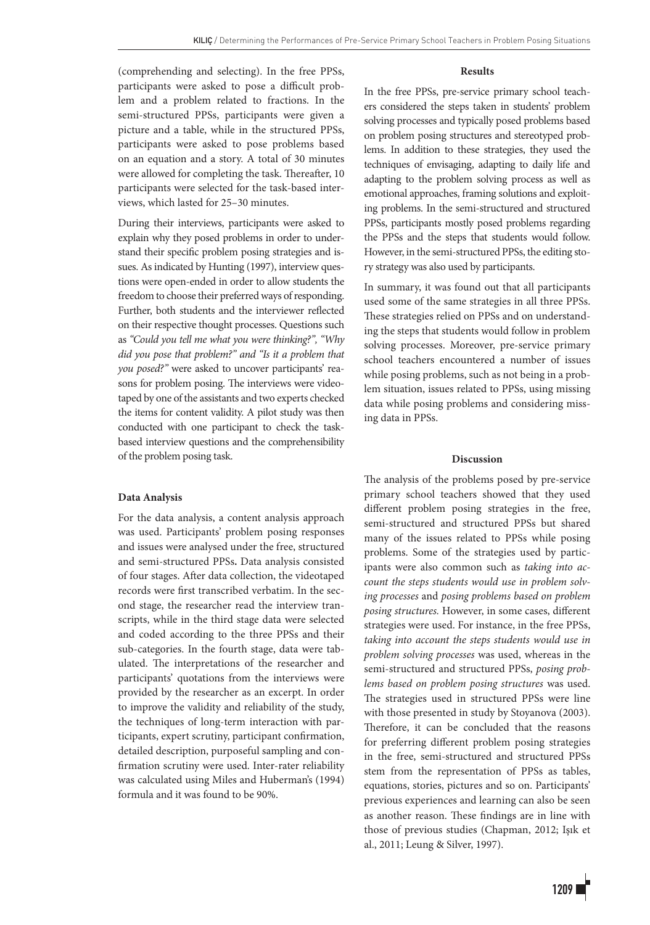(comprehending and selecting). In the free PPSs, participants were asked to pose a difficult problem and a problem related to fractions. In the semi-structured PPSs, participants were given a picture and a table, while in the structured PPSs, participants were asked to pose problems based on an equation and a story. A total of 30 minutes were allowed for completing the task. Thereafter, 10 participants were selected for the task-based interviews, which lasted for 25–30 minutes.

During their interviews, participants were asked to explain why they posed problems in order to understand their specific problem posing strategies and issues. As indicated by Hunting (1997), interview questions were open-ended in order to allow students the freedom to choose their preferred ways of responding. Further, both students and the interviewer reflected on their respective thought processes. Questions such as *"Could you tell me what you were thinking?", "Why did you pose that problem?" and "Is it a problem that you posed?"* were asked to uncover participants' reasons for problem posing. The interviews were videotaped by one of the assistants and two experts checked the items for content validity. A pilot study was then conducted with one participant to check the taskbased interview questions and the comprehensibility of the problem posing task.

## **Data Analysis**

For the data analysis, a content analysis approach was used. Participants' problem posing responses and issues were analysed under the free, structured and semi-structured PPSs**.** Data analysis consisted of four stages. After data collection, the videotaped records were first transcribed verbatim. In the second stage, the researcher read the interview transcripts, while in the third stage data were selected and coded according to the three PPSs and their sub-categories. In the fourth stage, data were tabulated. The interpretations of the researcher and participants' quotations from the interviews were provided by the researcher as an excerpt. In order to improve the validity and reliability of the study, the techniques of long-term interaction with participants, expert scrutiny, participant confirmation, detailed description, purposeful sampling and confirmation scrutiny were used. Inter-rater reliability was calculated using Miles and Huberman's (1994) formula and it was found to be 90%.

#### **Results**

In the free PPSs, pre-service primary school teachers considered the steps taken in students' problem solving processes and typically posed problems based on problem posing structures and stereotyped problems. In addition to these strategies, they used the techniques of envisaging, adapting to daily life and adapting to the problem solving process as well as emotional approaches, framing solutions and exploiting problems. In the semi-structured and structured PPSs, participants mostly posed problems regarding the PPSs and the steps that students would follow. However, in the semi-structured PPSs, the editing story strategy was also used by participants.

In summary, it was found out that all participants used some of the same strategies in all three PPSs. These strategies relied on PPSs and on understanding the steps that students would follow in problem solving processes. Moreover, pre-service primary school teachers encountered a number of issues while posing problems, such as not being in a problem situation, issues related to PPSs, using missing data while posing problems and considering missing data in PPSs.

#### **Discussion**

The analysis of the problems posed by pre-service primary school teachers showed that they used different problem posing strategies in the free, semi-structured and structured PPSs but shared many of the issues related to PPSs while posing problems. Some of the strategies used by participants were also common such as *taking into account the steps students would use in problem solving processes* and *posing problems based on problem posing structures.* However, in some cases, different strategies were used. For instance, in the free PPSs, *taking into account the steps students would use in problem solving processes* was used, whereas in the semi-structured and structured PPSs, *posing problems based on problem posing structures* was used. The strategies used in structured PPSs were line with those presented in study by Stoyanova (2003). Therefore, it can be concluded that the reasons for preferring different problem posing strategies in the free, semi-structured and structured PPSs stem from the representation of PPSs as tables, equations, stories, pictures and so on. Participants' previous experiences and learning can also be seen as another reason. These findings are in line with those of previous studies (Chapman, 2012; Işık et al., 2011; Leung & Silver, 1997).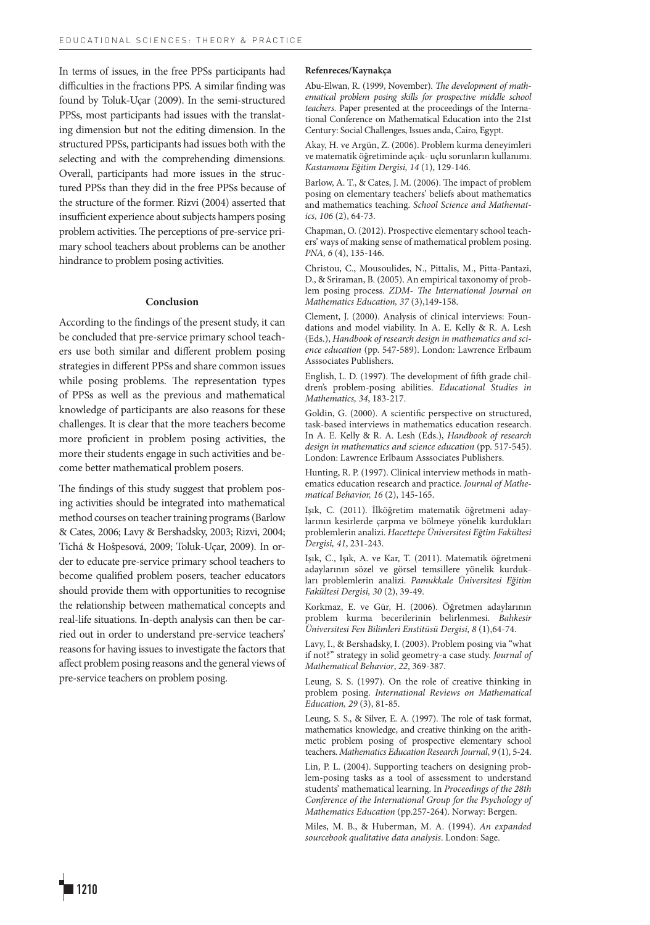In terms of issues, in the free PPSs participants had difficulties in the fractions PPS. A similar finding was found by Toluk-Uçar (2009). In the semi-structured PPSs, most participants had issues with the translating dimension but not the editing dimension. In the structured PPSs, participants had issues both with the selecting and with the comprehending dimensions. Overall, participants had more issues in the structured PPSs than they did in the free PPSs because of the structure of the former. Rizvi (2004) asserted that insufficient experience about subjects hampers posing problem activities. The perceptions of pre-service primary school teachers about problems can be another hindrance to problem posing activities.

# **Conclusion**

According to the findings of the present study, it can be concluded that pre-service primary school teachers use both similar and different problem posing strategies in different PPSs and share common issues while posing problems. The representation types of PPSs as well as the previous and mathematical knowledge of participants are also reasons for these challenges. It is clear that the more teachers become more proficient in problem posing activities, the more their students engage in such activities and become better mathematical problem posers.

The findings of this study suggest that problem posing activities should be integrated into mathematical method courses on teacher training programs (Barlow & Cates, 2006; Lavy & Bershadsky, 2003; Rizvi, 2004; Tichá & Hošpesová, 2009; Toluk-Uçar, 2009). In order to educate pre-service primary school teachers to become qualified problem posers, teacher educators should provide them with opportunities to recognise the relationship between mathematical concepts and real-life situations. In-depth analysis can then be carried out in order to understand pre-service teachers' reasons for having issues to investigate the factors that affect problem posing reasons and the general views of pre-service teachers on problem posing.

#### **Refenreces/Kaynakça**

Abu-Elwan, R. (1999, November). *The development of mathematical problem posing skills for prospective middle school teachers*. Paper presented at the proceedings of the International Conference on Mathematical Education into the 21st Century: Social Challenges, Issues anda, Cairo, Egypt.

Akay, H. ve Argün, Z. (2006). Problem kurma deneyimleri ve matematik öğretiminde açık- uçlu sorunların kullanımı. *Kastamonu Eğitim Dergisi, 14* (1), 129-146.

Barlow, A. T., & Cates, J. M. (2006). The impact of problem posing on elementary teachers' beliefs about mathematics and mathematics teaching. *School Science and Mathematics, 106* (2), 64-73.

Chapman, O. (2012). Prospective elementary school teachers' ways of making sense of mathematical problem posing. *PNA, 6* (4), 135-146.

Christou, C., Mousoulides, N., Pittalis, M., Pitta-Pantazi, D., & Sriraman, B. (2005). An empirical taxonomy of problem posing process. *ZDM*- *The International Journal on Mathematics Education, 37* (3),149-158.

Clement, J. (2000). Analysis of clinical interviews: Foundations and model viability. In A. E. Kelly & R. A. Lesh (Eds.), *Handbook of research design in mathematics and science education* (pp. 547-589). London: Lawrence Erlbaum Asssociates Publishers.

English, L. D. (1997). The development of fifth grade children's problem-posing abilities. *Educational Studies in Mathematics, 34*, 183-217.

Goldin, G. (2000). A scientific perspective on structured, task-based interviews in mathematics education research. In A. E. Kelly & R. A. Lesh (Eds.), *Handbook of research design in mathematics and science education* (pp. 517-545). London: Lawrence Erlbaum Asssociates Publishers.

Hunting, R. P. (1997). Clinical interview methods in mathematics education research and practice. *Journal of Mathematical Behavior, 16* (2), 145-165.

Işık, C. (2011). İlköğretim matematik öğretmeni adaylarının kesirlerde çarpma ve bölmeye yönelik kurdukları problemlerin analizi. *Hacettepe Üniversitesi Eğtim Fakültesi Dergisi, 41*, 231-243.

Işık, C., Işık, A. ve Kar, T. (2011). Matematik öğretmeni adaylarının sözel ve görsel temsillere yönelik kurdukları problemlerin analizi. *Pamukkale Üniversitesi Eğitim Fakültesi Dergisi, 30* (2), 39-49.

Korkmaz, E. ve Gür, H. (2006). Öğretmen adaylarının problem kurma becerilerinin belirlenmesi. *Balıkesir Üniversitesi Fen Bilimleri Enstitüsü Dergisi, 8* (1),64-74.

Lavy, I., & Bershadsky, I. (2003). Problem posing via "what if not?" strategy in solid geometry-a case study. *Journal of Mathematical Behavior*, *22*, 369-387.

Leung, S. S. (1997). On the role of creative thinking in problem posing. *International Reviews on Mathematical Education, 29* (3), 81-85.

Leung, S. S., & Silver, E. A. (1997). The role of task format, mathematics knowledge, and creative thinking on the arithmetic problem posing of prospective elementary school teachers. *Mathematics Education Research Journal*, *9* (1), 5-24.

Lin, P. L. (2004). Supporting teachers on designing problem-posing tasks as a tool of assessment to understand students' mathematical learning. In *Proceedings of the 28th Conference of the International Group for the Psychology of Mathematics Education* (pp.257-264). Norway: Bergen.

Miles, M. B., & Huberman, M. A. (1994). *An expanded sourcebook qualitative data analysis*. London: Sage.